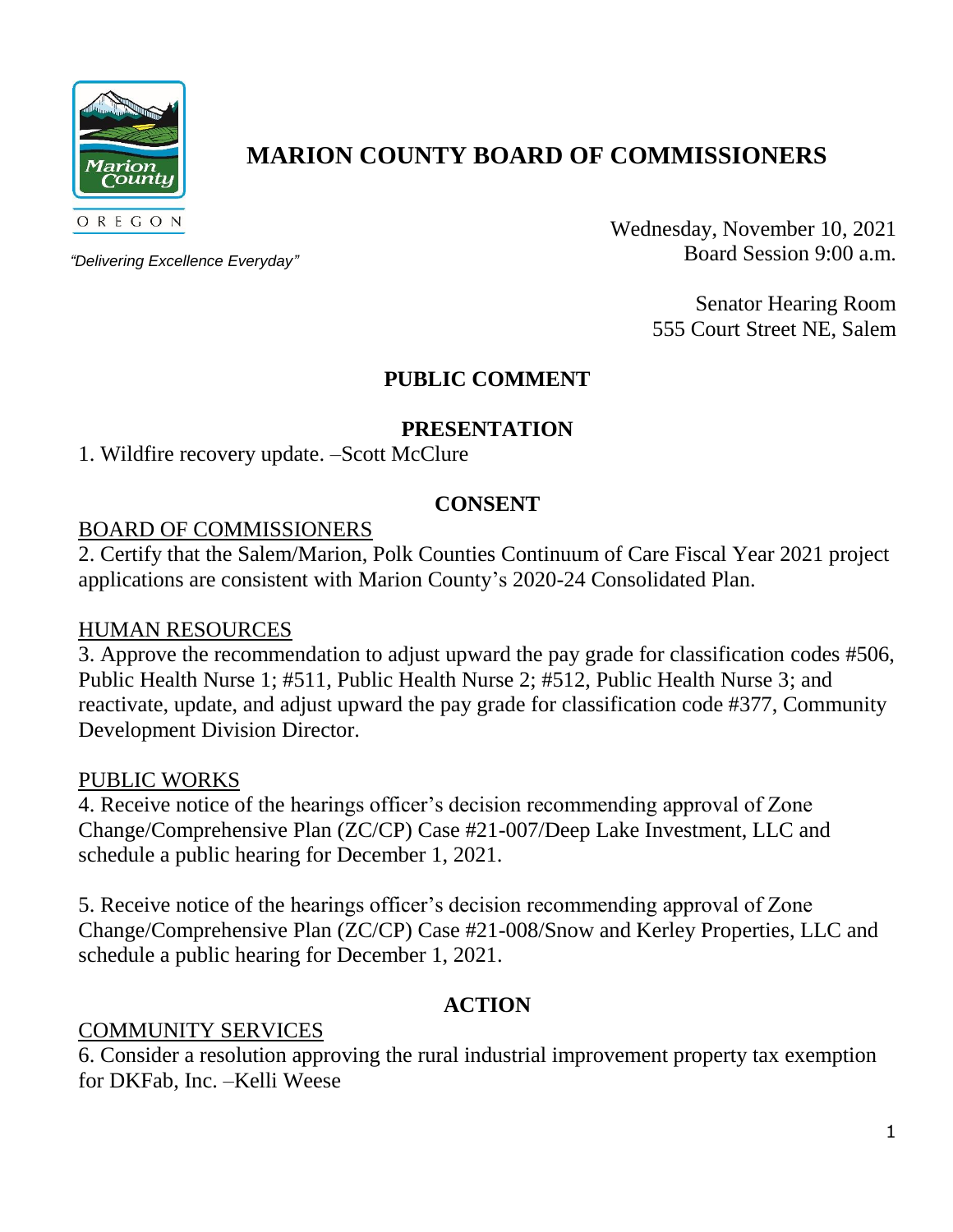

# **MARION COUNTY BOARD OF COMMISSIONERS**

*"Delivering Excellence Everyday"*

Wednesday, November 10, 2021 Board Session 9:00 a.m.

> Senator Hearing Room 555 Court Street NE, Salem

## **PUBLIC COMMENT**

#### **PRESENTATION**

1. Wildfire recovery update. –Scott McClure

#### **CONSENT**

#### BOARD OF COMMISSIONERS

2. Certify that the Salem/Marion, Polk Counties Continuum of Care Fiscal Year 2021 project applications are consistent with Marion County's 2020-24 Consolidated Plan.

#### HUMAN RESOURCES

3. Approve the recommendation to adjust upward the pay grade for classification codes #506, Public Health Nurse 1; #511, Public Health Nurse 2; #512, Public Health Nurse 3; and reactivate, update, and adjust upward the pay grade for classification code #377, Community Development Division Director.

#### PUBLIC WORKS

4. Receive notice of the hearings officer's decision recommending approval of Zone Change/Comprehensive Plan (ZC/CP) Case #21-007/Deep Lake Investment, LLC and schedule a public hearing for December 1, 2021.

5. Receive notice of the hearings officer's decision recommending approval of Zone Change/Comprehensive Plan (ZC/CP) Case #21-008/Snow and Kerley Properties, LLC and schedule a public hearing for December 1, 2021.

## **ACTION**

## COMMUNITY SERVICES

6. Consider a resolution approving the rural industrial improvement property tax exemption for DKFab, Inc. –Kelli Weese